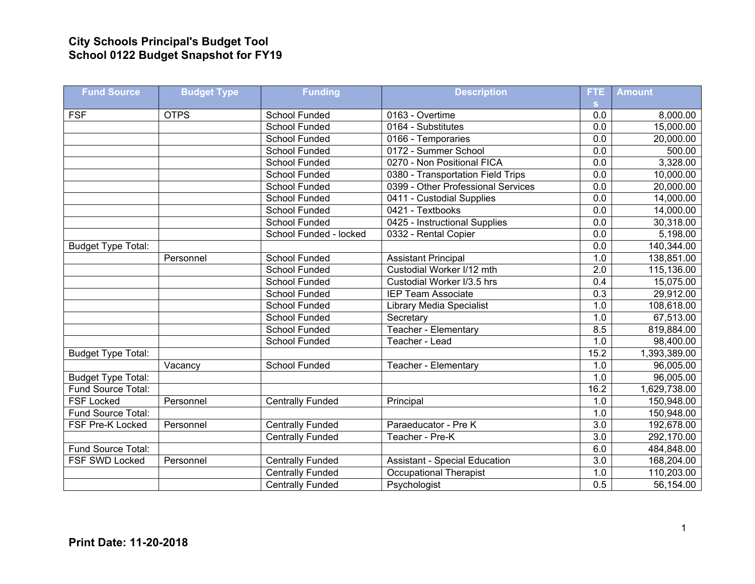## **City Schools Principal's Budget Tool School 0122 Budget Snapshot for FY19**

| <b>Fund Source</b>        | <b>Budget Type</b> | <b>Funding</b>          | <b>Description</b>                   | FTE.             | <b>Amount</b> |
|---------------------------|--------------------|-------------------------|--------------------------------------|------------------|---------------|
|                           |                    |                         |                                      | s.               |               |
| <b>FSF</b>                | <b>OTPS</b>        | School Funded           | 0163 - Overtime                      | 0.0              | 8,000.00      |
|                           |                    | <b>School Funded</b>    | 0164 - Substitutes                   | 0.0              | 15,000.00     |
|                           |                    | <b>School Funded</b>    | 0166 - Temporaries                   | 0.0              | 20,000.00     |
|                           |                    | School Funded           | 0172 - Summer School                 | 0.0              | 500.00        |
|                           |                    | School Funded           | 0270 - Non Positional FICA           | 0.0              | 3,328.00      |
|                           |                    | School Funded           | 0380 - Transportation Field Trips    | 0.0              | 10,000.00     |
|                           |                    | <b>School Funded</b>    | 0399 - Other Professional Services   | 0.0              | 20,000.00     |
|                           |                    | <b>School Funded</b>    | 0411 - Custodial Supplies            | $\overline{0.0}$ | 14,000.00     |
|                           |                    | School Funded           | 0421 - Textbooks                     | 0.0              | 14,000.00     |
|                           |                    | School Funded           | 0425 - Instructional Supplies        | 0.0              | 30,318.00     |
|                           |                    | School Funded - locked  | 0332 - Rental Copier                 | 0.0              | 5,198.00      |
| <b>Budget Type Total:</b> |                    |                         |                                      | 0.0              | 140,344.00    |
|                           | Personnel          | School Funded           | <b>Assistant Principal</b>           | 1.0              | 138,851.00    |
|                           |                    | School Funded           | Custodial Worker I/12 mth            | $\overline{2.0}$ | 115,136.00    |
|                           |                    | School Funded           | Custodial Worker I/3.5 hrs           | 0.4              | 15,075.00     |
|                           |                    | School Funded           | <b>IEP Team Associate</b>            | 0.3              | 29,912.00     |
|                           |                    | <b>School Funded</b>    | <b>Library Media Specialist</b>      | 1.0              | 108,618.00    |
|                           |                    | School Funded           | Secretary                            | 1.0              | 67,513.00     |
|                           |                    | School Funded           | Teacher - Elementary                 | 8.5              | 819,884.00    |
|                           |                    | <b>School Funded</b>    | Teacher - Lead                       | 1.0              | 98,400.00     |
| <b>Budget Type Total:</b> |                    |                         |                                      | 15.2             | 1,393,389.00  |
|                           | Vacancy            | <b>School Funded</b>    | Teacher - Elementary                 | 1.0              | 96,005.00     |
| <b>Budget Type Total:</b> |                    |                         |                                      | 1.0              | 96,005.00     |
| Fund Source Total:        |                    |                         |                                      | 16.2             | 1,629,738.00  |
| <b>FSF Locked</b>         | Personnel          | <b>Centrally Funded</b> | Principal                            | 1.0              | 150,948.00    |
| Fund Source Total:        |                    |                         |                                      | 1.0              | 150,948.00    |
| FSF Pre-K Locked          | Personnel          | <b>Centrally Funded</b> | Paraeducator - Pre K                 | 3.0              | 192,678.00    |
|                           |                    | <b>Centrally Funded</b> | Teacher - Pre-K                      | $\overline{3.0}$ | 292,170.00    |
| Fund Source Total:        |                    |                         |                                      | 6.0              | 484,848.00    |
| FSF SWD Locked            | Personnel          | <b>Centrally Funded</b> | <b>Assistant - Special Education</b> | $\overline{3.0}$ | 168,204.00    |
|                           |                    | <b>Centrally Funded</b> | <b>Occupational Therapist</b>        | 1.0              | 110,203.00    |
|                           |                    | <b>Centrally Funded</b> | Psychologist                         | 0.5              | 56,154.00     |